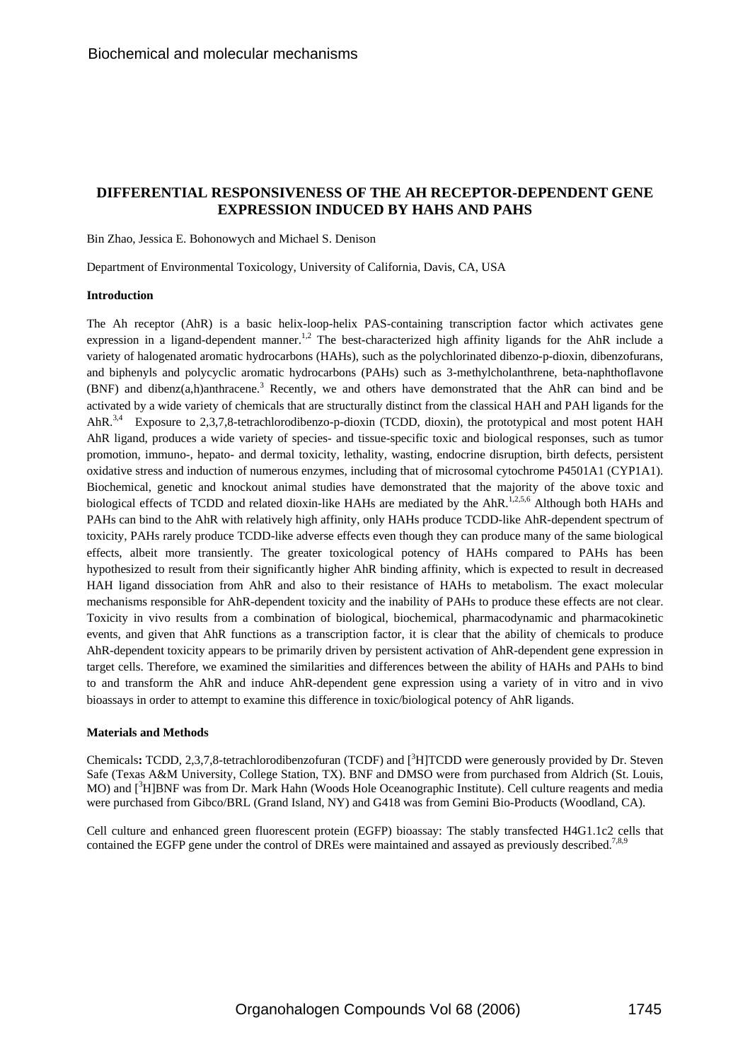# **DIFFERENTIAL RESPONSIVENESS OF THE AH RECEPTOR-DEPENDENT GENE EXPRESSION INDUCED BY HAHS AND PAHS**

Bin Zhao, Jessica E. Bohonowych and Michael S. Denison

Department of Environmental Toxicology, University of California, Davis, CA, USA

## **Introduction**

The Ah receptor (AhR) is a basic helix-loop-helix PAS-containing transcription factor which activates gene expression in a ligand-dependent manner.<sup>1,2</sup> The best-characterized high affinity ligands for the AhR include a variety of halogenated aromatic hydrocarbons (HAHs), such as the polychlorinated dibenzo-p-dioxin, dibenzofurans, and biphenyls and polycyclic aromatic hydrocarbons (PAHs) such as 3-methylcholanthrene, beta-naphthoflavone (BNF) and dibenz $(a,h)$ anthracene.<sup>3</sup> Recently, we and others have demonstrated that the AhR can bind and be activated by a wide variety of chemicals that are structurally distinct from the classical HAH and PAH ligands for the AhR.<sup>3,4</sup> Exposure to 2,3,7,8-tetrachlorodibenzo-p-dioxin (TCDD, dioxin), the prototypical and most potent HAH AhR ligand, produces a wide variety of species- and tissue-specific toxic and biological responses, such as tumor promotion, immuno-, hepato- and dermal toxicity, lethality, wasting, endocrine disruption, birth defects, persistent oxidative stress and induction of numerous enzymes, including that of microsomal cytochrome P4501A1 (CYP1A1). Biochemical, genetic and knockout animal studies have demonstrated that the majority of the above toxic and biological effects of TCDD and related dioxin-like HAHs are mediated by the AhR.<sup>1,2,5,6</sup> Although both HAHs and PAHs can bind to the AhR with relatively high affinity, only HAHs produce TCDD-like AhR-dependent spectrum of toxicity, PAHs rarely produce TCDD-like adverse effects even though they can produce many of the same biological effects, albeit more transiently. The greater toxicological potency of HAHs compared to PAHs has been hypothesized to result from their significantly higher AhR binding affinity, which is expected to result in decreased HAH ligand dissociation from AhR and also to their resistance of HAHs to metabolism. The exact molecular mechanisms responsible for AhR-dependent toxicity and the inability of PAHs to produce these effects are not clear. Toxicity in vivo results from a combination of biological, biochemical, pharmacodynamic and pharmacokinetic events, and given that AhR functions as a transcription factor, it is clear that the ability of chemicals to produce AhR-dependent toxicity appears to be primarily driven by persistent activation of AhR-dependent gene expression in target cells. Therefore, we examined the similarities and differences between the ability of HAHs and PAHs to bind to and transform the AhR and induce AhR-dependent gene expression using a variety of in vitro and in vivo bioassays in order to attempt to examine this difference in toxic/biological potency of AhR ligands.

#### **Materials and Methods**

Chemicals: TCDD, 2,3,7,8-tetrachlorodibenzofuran (TCDF) and [<sup>3</sup>H]TCDD were generously provided by Dr. Steven Safe (Texas A&M University, College Station, TX). BNF and DMSO were from purchased from Aldrich (St. Louis, MO) and [<sup>3</sup>H]BNF was from Dr. Mark Hahn (Woods Hole Oceanographic Institute). Cell culture reagents and media were purchased from Gibco/BRL (Grand Island, NY) and G418 was from Gemini Bio-Products (Woodland, CA).

Cell culture and enhanced green fluorescent protein (EGFP) bioassay: The stably transfected H4G1.1c2 cells that contained the EGFP gene under the control of DREs were maintained and assayed as previously described.<sup>7,8,9</sup>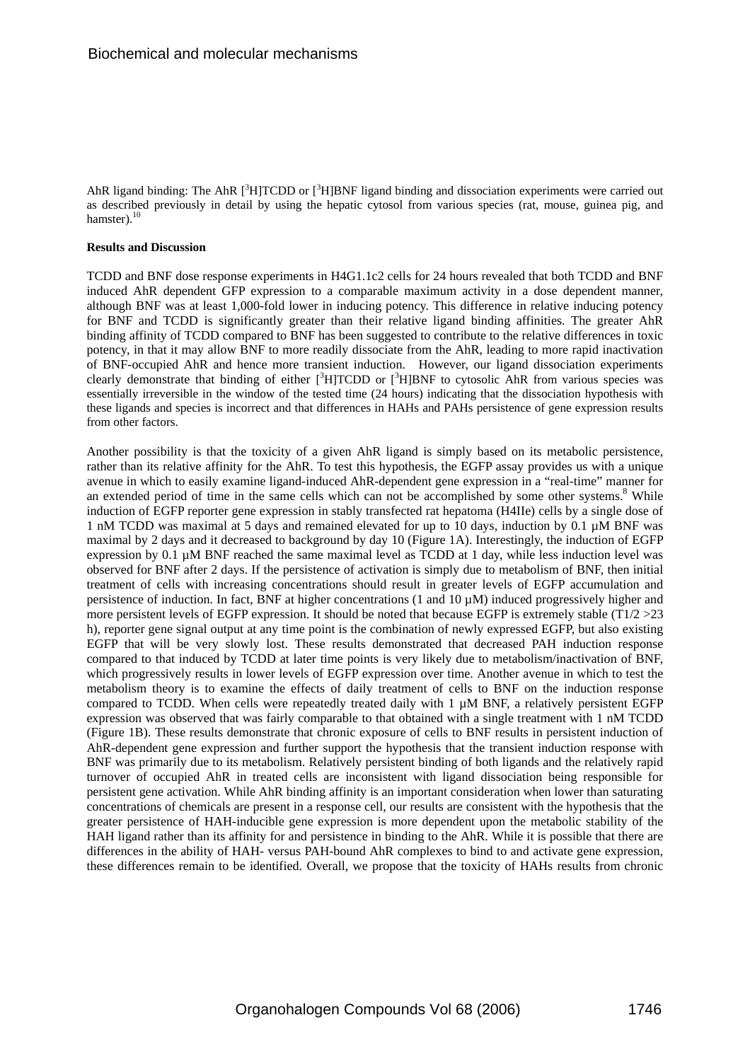AhR ligand binding: The AhR  $[^{3}H]TCDD$  or  $[^{3}H]BNF$  ligand binding and dissociation experiments were carried out as described previously in detail by using the hepatic cytosol from various species (rat, mouse, guinea pig, and hamster).<sup>10</sup>

### **Results and Discussion**

TCDD and BNF dose response experiments in H4G1.1c2 cells for 24 hours revealed that both TCDD and BNF induced AhR dependent GFP expression to a comparable maximum activity in a dose dependent manner, although BNF was at least 1,000-fold lower in inducing potency. This difference in relative inducing potency for BNF and TCDD is significantly greater than their relative ligand binding affinities. The greater AhR binding affinity of TCDD compared to BNF has been suggested to contribute to the relative differences in toxic potency, in that it may allow BNF to more readily dissociate from the AhR, leading to more rapid inactivation of BNF-occupied AhR and hence more transient induction. However, our ligand dissociation experiments clearly demonstrate that binding of either [<sup>3</sup>H]TCDD or [<sup>3</sup>H]BNF to cytosolic AhR from various species was essentially irreversible in the window of the tested time (24 hours) indicating that the dissociation hypothesis with these ligands and species is incorrect and that differences in HAHs and PAHs persistence of gene expression results from other factors.

Another possibility is that the toxicity of a given AhR ligand is simply based on its metabolic persistence, rather than its relative affinity for the AhR. To test this hypothesis, the EGFP assay provides us with a unique avenue in which to easily examine ligand-induced AhR-dependent gene expression in a "real-time" manner for an extended period of time in the same cells which can not be accomplished by some other systems.<sup>8</sup> While induction of EGFP reporter gene expression in stably transfected rat hepatoma (H4IIe) cells by a single dose of 1 nM TCDD was maximal at 5 days and remained elevated for up to 10 days, induction by 0.1 µM BNF was maximal by 2 days and it decreased to background by day 10 (Figure 1A). Interestingly, the induction of EGFP expression by 0.1 µM BNF reached the same maximal level as TCDD at 1 day, while less induction level was observed for BNF after 2 days. If the persistence of activation is simply due to metabolism of BNF, then initial treatment of cells with increasing concentrations should result in greater levels of EGFP accumulation and persistence of induction. In fact, BNF at higher concentrations (1 and 10 µM) induced progressively higher and more persistent levels of EGFP expression. It should be noted that because EGFP is extremely stable ( $T1/2 > 23$ ) h), reporter gene signal output at any time point is the combination of newly expressed EGFP, but also existing EGFP that will be very slowly lost. These results demonstrated that decreased PAH induction response compared to that induced by TCDD at later time points is very likely due to metabolism/inactivation of BNF, which progressively results in lower levels of EGFP expression over time. Another avenue in which to test the metabolism theory is to examine the effects of daily treatment of cells to BNF on the induction response compared to TCDD. When cells were repeatedly treated daily with 1 µM BNF, a relatively persistent EGFP expression was observed that was fairly comparable to that obtained with a single treatment with 1 nM TCDD (Figure 1B). These results demonstrate that chronic exposure of cells to BNF results in persistent induction of AhR-dependent gene expression and further support the hypothesis that the transient induction response with BNF was primarily due to its metabolism. Relatively persistent binding of both ligands and the relatively rapid turnover of occupied AhR in treated cells are inconsistent with ligand dissociation being responsible for persistent gene activation. While AhR binding affinity is an important consideration when lower than saturating concentrations of chemicals are present in a response cell, our results are consistent with the hypothesis that the greater persistence of HAH-inducible gene expression is more dependent upon the metabolic stability of the HAH ligand rather than its affinity for and persistence in binding to the AhR. While it is possible that there are differences in the ability of HAH- versus PAH-bound AhR complexes to bind to and activate gene expression, these differences remain to be identified. Overall, we propose that the toxicity of HAHs results from chronic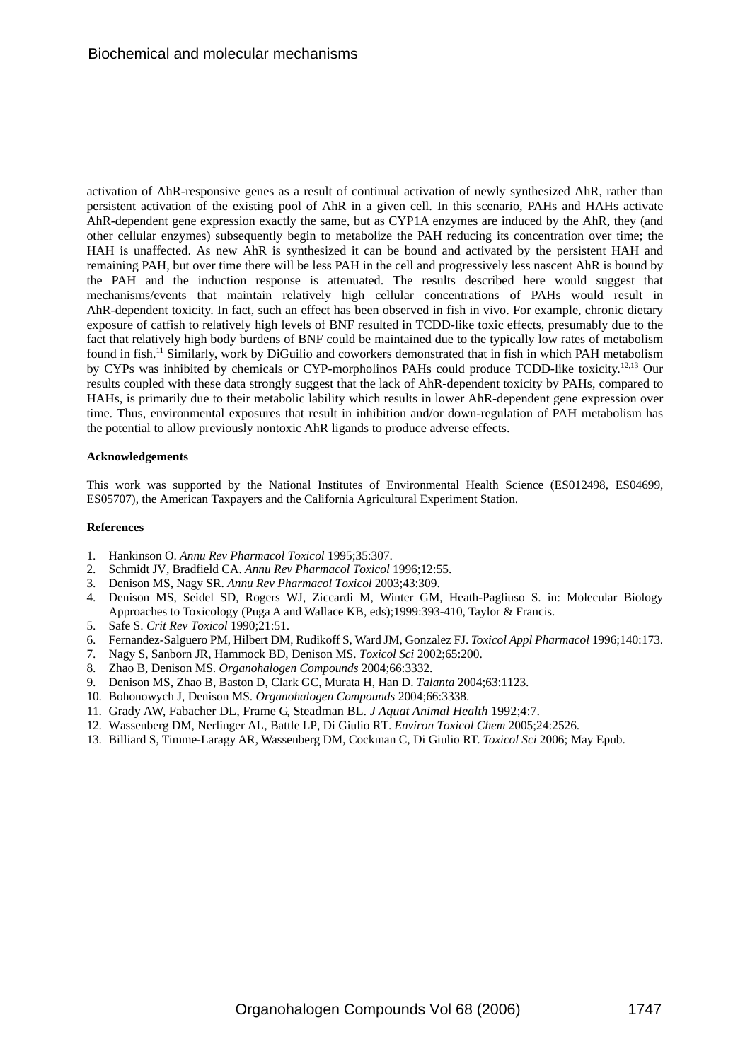activation of AhR-responsive genes as a result of continual activation of newly synthesized AhR, rather than persistent activation of the existing pool of AhR in a given cell. In this scenario, PAHs and HAHs activate AhR-dependent gene expression exactly the same, but as CYP1A enzymes are induced by the AhR, they (and other cellular enzymes) subsequently begin to metabolize the PAH reducing its concentration over time; the HAH is unaffected. As new AhR is synthesized it can be bound and activated by the persistent HAH and remaining PAH, but over time there will be less PAH in the cell and progressively less nascent AhR is bound by the PAH and the induction response is attenuated. The results described here would suggest that mechanisms/events that maintain relatively high cellular concentrations of PAHs would result in AhR-dependent toxicity. In fact, such an effect has been observed in fish in vivo. For example, chronic dietary exposure of catfish to relatively high levels of BNF resulted in TCDD-like toxic effects, presumably due to the fact that relatively high body burdens of BNF could be maintained due to the typically low rates of metabolism found in fish.<sup>11</sup> Similarly, work by DiGuilio and coworkers demonstrated that in fish in which PAH metabolism by CYPs was inhibited by chemicals or CYP-morpholinos PAHs could produce TCDD-like toxicity.<sup>12,13</sup> Our results coupled with these data strongly suggest that the lack of AhR-dependent toxicity by PAHs, compared to HAHs, is primarily due to their metabolic lability which results in lower AhR-dependent gene expression over time. Thus, environmental exposures that result in inhibition and/or down-regulation of PAH metabolism has the potential to allow previously nontoxic AhR ligands to produce adverse effects.

## **Acknowledgements**

This work was supported by the National Institutes of Environmental Health Science (ES012498, ES04699, ES05707), the American Taxpayers and the California Agricultural Experiment Station.

### **References**

- 1. Hankinson O. *Annu Rev Pharmacol Toxicol* 1995;35:307.
- 2. Schmidt JV, Bradfield CA. *Annu Rev Pharmacol Toxicol* 1996;12:55.
- 3. Denison MS, Nagy SR. *Annu Rev Pharmacol Toxicol* 2003;43:309.
- 4. Denison MS, Seidel SD, Rogers WJ, Ziccardi M, Winter GM, Heath-Pagliuso S. in: Molecular Biology Approaches to Toxicology (Puga A and Wallace KB, eds);1999:393-410, Taylor & Francis.
- 5. Safe S. *Crit Rev Toxicol* 1990;21:51.
- 6. Fernandez-Salguero PM, Hilbert DM, Rudikoff S, Ward JM, Gonzalez FJ. *Toxicol Appl Pharmacol* 1996;140:173.
- 7. Nagy S, Sanborn JR, Hammock BD, Denison MS. *Toxicol Sci* 2002;65:200.
- 8. Zhao B, Denison MS. *Organohalogen Compounds* 2004;66:3332.
- 9. Denison MS, Zhao B, Baston D, Clark GC, Murata H, Han D. *Talanta* 2004;63:1123.
- 10. Bohonowych J, Denison MS. *Organohalogen Compounds* 2004;66:3338.
- 11. Grady AW, Fabacher DL, Frame G, Steadman BL. *J Aquat Animal Health* 1992;4:7.
- 12. Wassenberg DM, Nerlinger AL, Battle LP, Di Giulio RT. *Environ Toxicol Chem* 2005;24:2526.
- 13. Billiard S, Timme-Laragy AR, Wassenberg DM, Cockman C, Di Giulio RT. *Toxicol Sci* 2006; May Epub.